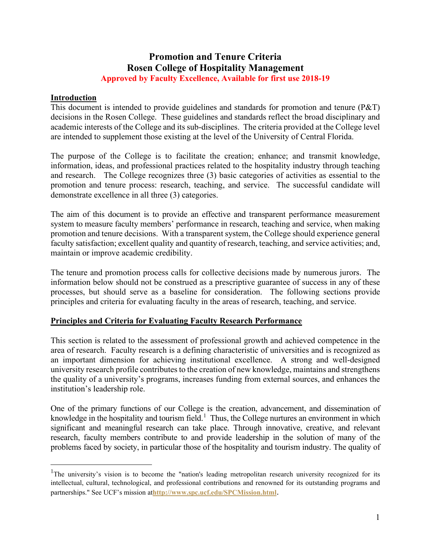# **Promotion and Tenure Criteria Rosen College of Hospitality Management Approved by Faculty Excellence, Available for first use 2018-19**

#### **Introduction**

This document is intended to provide guidelines and standards for promotion and tenure (P&T) decisions in the Rosen College. These guidelines and standards reflect the broad disciplinary and academic interests of the College and its sub-disciplines. The criteria provided at the College level are intended to supplement those existing at the level of the University of Central Florida.

The purpose of the College is to facilitate the creation; enhance; and transmit knowledge, information, ideas, and professional practices related to the hospitality industry through teaching and research. The College recognizes three (3) basic categories of activities as essential to the promotion and tenure process: research, teaching, and service. The successful candidate will demonstrate excellence in all three (3) categories.

The aim of this document is to provide an effective and transparent performance measurement system to measure faculty members' performance in research, teaching and service, when making promotion and tenure decisions. With a transparent system, the College should experience general faculty satisfaction; excellent quality and quantity of research, teaching, and service activities; and, maintain or improve academic credibility.

The tenure and promotion process calls for collective decisions made by numerous jurors. The information below should not be construed as a prescriptive guarantee of success in any of these processes, but should serve as a baseline for consideration. The following sections provide principles and criteria for evaluating faculty in the areas of research, teaching, and service.

## **Principles and Criteria for Evaluating Faculty Research Performance**

This section is related to the assessment of professional growth and achieved competence in the area of research. Faculty research is a defining characteristic of universities and is recognized as an important dimension for achieving institutional excellence. A strong and well-designed university research profile contributes to the creation of new knowledge, maintains and strengthens the quality of a university's programs, increases funding from external sources, and enhances the institution's leadership role.

One of the primary functions of our College is the creation, advancement, and dissemination of knowledge in the hospitality and tourism field.<sup>[1](#page-0-0)</sup> Thus, the College nurtures an environment in which significant and meaningful research can take place. Through innovative, creative, and relevant research, faculty members contribute to and provide leadership in the solution of many of the problems faced by society, in particular those of the hospitality and tourism industry. The quality of

<span id="page-0-0"></span><sup>&</sup>lt;sup>1</sup>The university's vision is to become the "nation's leading metropolitan research university recognized for its intellectual, cultural, technological, and professional contributions and renowned for its outstanding programs and partnerships." See UCF's mission at**<http://www.spc.ucf.edu/SPCMission.html>**.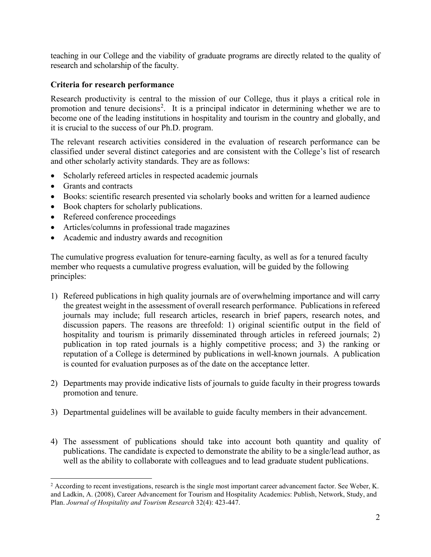teaching in our College and the viability of graduate programs are directly related to the quality of research and scholarship of the faculty.

## **Criteria for research performance**

Research productivity is central to the mission of our College, thus it plays a critical role in promotion and tenure decisions<sup>[2](#page-1-0)</sup>. It is a principal indicator in determining whether we are to become one of the leading institutions in hospitality and tourism in the country and globally, and it is crucial to the success of our Ph.D. program.

The relevant research activities considered in the evaluation of research performance can be classified under several distinct categories and are consistent with the College's list of research and other scholarly activity standards. They are as follows:

- Scholarly refereed articles in respected academic journals
- Grants and contracts
- Books: scientific research presented via scholarly books and written for a learned audience
- Book chapters for scholarly publications.
- Refereed conference proceedings
- Articles/columns in professional trade magazines
- Academic and industry awards and recognition

The cumulative progress evaluation for tenure-earning faculty, as well as for a tenured faculty member who requests a cumulative progress evaluation, will be guided by the following principles:

- 1) Refereed publications in high quality journals are of overwhelming importance and will carry the greatest weight in the assessment of overall research performance. Publications in refereed journals may include; full research articles, research in brief papers, research notes, and discussion papers. The reasons are threefold: 1) original scientific output in the field of hospitality and tourism is primarily disseminated through articles in refereed journals; 2) publication in top rated journals is a highly competitive process; and 3) the ranking or reputation of a College is determined by publications in well-known journals. A publication is counted for evaluation purposes as of the date on the acceptance letter.
- 2) Departments may provide indicative lists of journals to guide faculty in their progress towards promotion and tenure.
- 3) Departmental guidelines will be available to guide faculty members in their advancement.
- 4) The assessment of publications should take into account both quantity and quality of publications. The candidate is expected to demonstrate the ability to be a single/lead author, as well as the ability to collaborate with colleagues and to lead graduate student publications.

<span id="page-1-0"></span><sup>&</sup>lt;sup>2</sup> According to recent investigations, research is the single most important career advancement factor. See Weber, K. and Ladkin, A. (2008), Career Advancement for Tourism and Hospitality Academics: Publish, Network, Study, and Plan. *Journal of Hospitality and Tourism Research* 32(4): 423-447.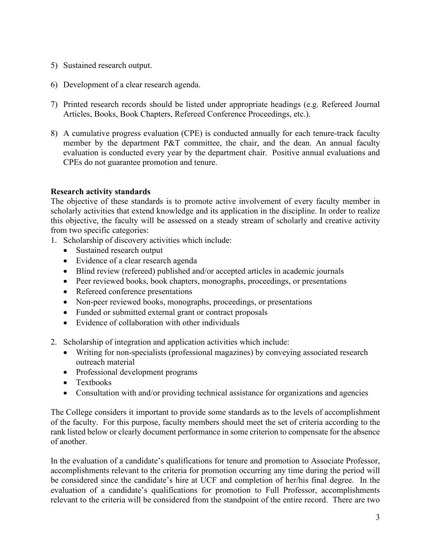- 5) Sustained research output.
- 6) Development of a clear research agenda.
- 7) Printed research records should be listed under appropriate headings (e.g. Refereed Journal Articles, Books, Book Chapters, Refereed Conference Proceedings, etc.).
- 8) A cumulative progress evaluation (CPE) is conducted annually for each tenure-track faculty member by the department P&T committee, the chair, and the dean. An annual faculty evaluation is conducted every year by the department chair. Positive annual evaluations and CPEs do not guarantee promotion and tenure.

#### **Research activity standards**

The objective of these standards is to promote active involvement of every faculty member in scholarly activities that extend knowledge and its application in the discipline. In order to realize this objective, the faculty will be assessed on a steady stream of scholarly and creative activity from two specific categories:

- 1. Scholarship of discovery activities which include:
	- Sustained research output
	- Evidence of a clear research agenda
	- Blind review (refereed) published and/or accepted articles in academic journals
	- Peer reviewed books, book chapters, monographs, proceedings, or presentations
	- Refereed conference presentations
	- Non-peer reviewed books, monographs, proceedings, or presentations
	- Funded or submitted external grant or contract proposals
	- Evidence of collaboration with other individuals
- 2. Scholarship of integration and application activities which include:
	- Writing for non-specialists (professional magazines) by conveying associated research outreach material
	- Professional development programs
	- Textbooks
	- Consultation with and/or providing technical assistance for organizations and agencies

The College considers it important to provide some standards as to the levels of accomplishment of the faculty. For this purpose, faculty members should meet the set of criteria according to the rank listed below or clearly document performance in some criterion to compensate for the absence of another.

In the evaluation of a candidate's qualifications for tenure and promotion to Associate Professor, accomplishments relevant to the criteria for promotion occurring any time during the period will be considered since the candidate's hire at UCF and completion of her/his final degree. In the evaluation of a candidate's qualifications for promotion to Full Professor, accomplishments relevant to the criteria will be considered from the standpoint of the entire record. There are two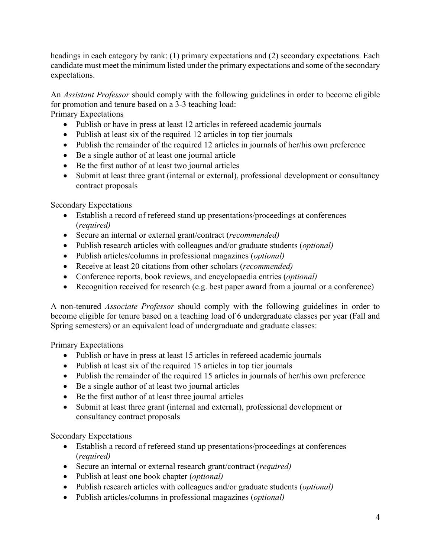headings in each category by rank: (1) primary expectations and (2) secondary expectations. Each candidate must meet the minimum listed under the primary expectations and some of the secondary expectations.

An *Assistant Professor* should comply with the following guidelines in order to become eligible for promotion and tenure based on a 3-3 teaching load:

Primary Expectations

- Publish or have in press at least 12 articles in refereed academic journals
- Publish at least six of the required 12 articles in top tier journals
- Publish the remainder of the required 12 articles in journals of her/his own preference
- Be a single author of at least one journal article
- Be the first author of at least two journal articles
- Submit at least three grant (internal or external), professional development or consultancy contract proposals

Secondary Expectations

- Establish a record of refereed stand up presentations/proceedings at conferences (*required)*
- Secure an internal or external grant/contract (*recommended)*
- Publish research articles with colleagues and/or graduate students (*optional)*
- Publish articles/columns in professional magazines (*optional)*
- Receive at least 20 citations from other scholars (*recommended)*
- Conference reports, book reviews, and encyclopaedia entries (*optional)*
- Recognition received for research (e.g. best paper award from a journal or a conference)

A non-tenured *Associate Professor* should comply with the following guidelines in order to become eligible for tenure based on a teaching load of 6 undergraduate classes per year (Fall and Spring semesters) or an equivalent load of undergraduate and graduate classes:

Primary Expectations

- Publish or have in press at least 15 articles in refereed academic journals
- Publish at least six of the required 15 articles in top tier journals
- Publish the remainder of the required 15 articles in journals of her/his own preference
- Be a single author of at least two journal articles
- Be the first author of at least three journal articles
- Submit at least three grant (internal and external), professional development or consultancy contract proposals

Secondary Expectations

- Establish a record of refereed stand up presentations/proceedings at conferences (*required)*
- Secure an internal or external research grant/contract (*required)*
- Publish at least one book chapter (*optional)*
- Publish research articles with colleagues and/or graduate students (*optional)*
- Publish articles/columns in professional magazines (*optional)*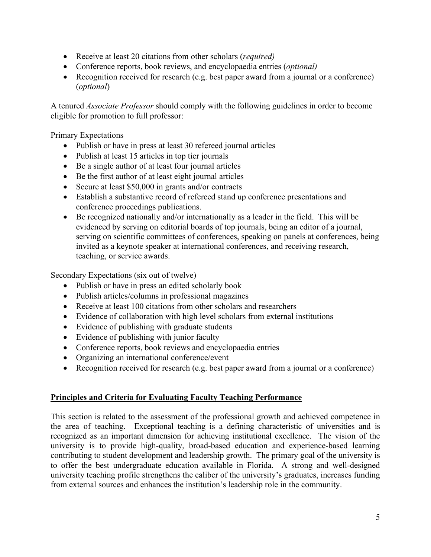- Receive at least 20 citations from other scholars (*required)*
- Conference reports, book reviews, and encyclopaedia entries (*optional)*
- Recognition received for research (e.g. best paper award from a journal or a conference) (*optional*)

A tenured *Associate Professor* should comply with the following guidelines in order to become eligible for promotion to full professor:

Primary Expectations

- Publish or have in press at least 30 refereed journal articles
- Publish at least 15 articles in top tier journals
- Be a single author of at least four journal articles
- Be the first author of at least eight journal articles
- Secure at least \$50,000 in grants and/or contracts
- Establish a substantive record of refereed stand up conference presentations and conference proceedings publications.
- Be recognized nationally and/or internationally as a leader in the field. This will be evidenced by serving on editorial boards of top journals, being an editor of a journal, serving on scientific committees of conferences, speaking on panels at conferences, being invited as a keynote speaker at international conferences, and receiving research, teaching, or service awards.

Secondary Expectations (six out of twelve)

- Publish or have in press an edited scholarly book
- Publish articles/columns in professional magazines
- Receive at least 100 citations from other scholars and researchers
- Evidence of collaboration with high level scholars from external institutions
- Evidence of publishing with graduate students
- Evidence of publishing with junior faculty
- Conference reports, book reviews and encyclopaedia entries
- Organizing an international conference/event
- Recognition received for research (e.g. best paper award from a journal or a conference)

## **Principles and Criteria for Evaluating Faculty Teaching Performance**

This section is related to the assessment of the professional growth and achieved competence in the area of teaching. Exceptional teaching is a defining characteristic of universities and is recognized as an important dimension for achieving institutional excellence. The vision of the university is to provide high-quality, broad-based education and experience-based learning contributing to student development and leadership growth. The primary goal of the university is to offer the best undergraduate education available in Florida. A strong and well-designed university teaching profile strengthens the caliber of the university's graduates, increases funding from external sources and enhances the institution's leadership role in the community.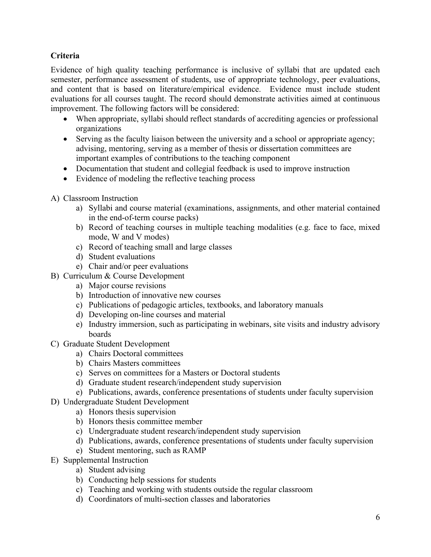## **Criteria**

Evidence of high quality teaching performance is inclusive of syllabi that are updated each semester, performance assessment of students, use of appropriate technology, peer evaluations, and content that is based on literature/empirical evidence. Evidence must include student evaluations for all courses taught. The record should demonstrate activities aimed at continuous improvement. The following factors will be considered:

- When appropriate, syllabi should reflect standards of accrediting agencies or professional organizations
- Serving as the faculty liaison between the university and a school or appropriate agency; advising, mentoring, serving as a member of thesis or dissertation committees are important examples of contributions to the teaching component
- Documentation that student and collegial feedback is used to improve instruction
- Evidence of modeling the reflective teaching process
- A) Classroom Instruction
	- a) Syllabi and course material (examinations, assignments, and other material contained in the end-of-term course packs)
	- b) Record of teaching courses in multiple teaching modalities (e.g. face to face, mixed mode, W and V modes)
	- c) Record of teaching small and large classes
	- d) Student evaluations
	- e) Chair and/or peer evaluations
- B) Curriculum & Course Development
	- a) Major course revisions
	- b) Introduction of innovative new courses
	- c) Publications of pedagogic articles, textbooks, and laboratory manuals
	- d) Developing on-line courses and material
	- e) Industry immersion, such as participating in webinars, site visits and industry advisory boards
- C) Graduate Student Development
	- a) Chairs Doctoral committees
	- b) Chairs Masters committees
	- c) Serves on committees for a Masters or Doctoral students
	- d) Graduate student research/independent study supervision
	- e) Publications, awards, conference presentations of students under faculty supervision
- D) Undergraduate Student Development
	- a) Honors thesis supervision
	- b) Honors thesis committee member
	- c) Undergraduate student research/independent study supervision
	- d) Publications, awards, conference presentations of students under faculty supervision
	- e) Student mentoring, such as RAMP
- E) Supplemental Instruction
	- a) Student advising
	- b) Conducting help sessions for students
	- c) Teaching and working with students outside the regular classroom
	- d) Coordinators of multi-section classes and laboratories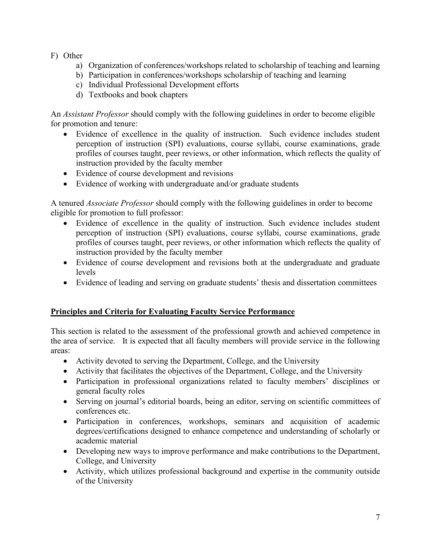- F) Other
	- a) Organization of conferences/workshops related to scholarship of teaching and learning
	- b) Participation in conferences/workshops scholarship of teaching and learning
	- c) Individual Professional Development efforts
	- d) Textbooks and book chapters

An *Assistant Professor* should comply with the following guidelines in order to become eligible for promotion and tenure:

- Evidence of excellence in the quality of instruction. Such evidence includes student perception of instruction (SPI) evaluations, course syllabi, course examinations, grade profiles of courses taught, peer reviews, or other information, which reflects the quality of instruction provided by the faculty member
- Evidence of course development and revisions
- Evidence of working with undergraduate and/or graduate students

A tenured *Associate Professor* should comply with the following guidelines in order to become eligible for promotion to full professor:

- Evidence of excellence in the quality of instruction. Such evidence includes student perception of instruction (SPI) evaluations, course syllabi, course examinations, grade profiles of courses taught, peer reviews, or other information which reflects the quality of instruction provided by the faculty member
- Evidence of course development and revisions both at the undergraduate and graduate levels
- Evidence of leading and serving on graduate students' thesis and dissertation committees

## **Principles and Criteria for Evaluating Faculty Service Performance**

This section is related to the assessment of the professional growth and achieved competence in the area of service. It is expected that all faculty members will provide service in the following areas:

- Activity devoted to serving the Department, College, and the University
- Activity that facilitates the objectives of the Department, College, and the University
- Participation in professional organizations related to faculty members' disciplines or general faculty roles
- Serving on journal's editorial boards, being an editor, serving on scientific committees of conferences etc.
- Participation in conferences, workshops, seminars and acquisition of academic degrees/certifications designed to enhance competence and understanding of scholarly or academic material
- Developing new ways to improve performance and make contributions to the Department, College, and University
- Activity, which utilizes professional background and expertise in the community outside of the University